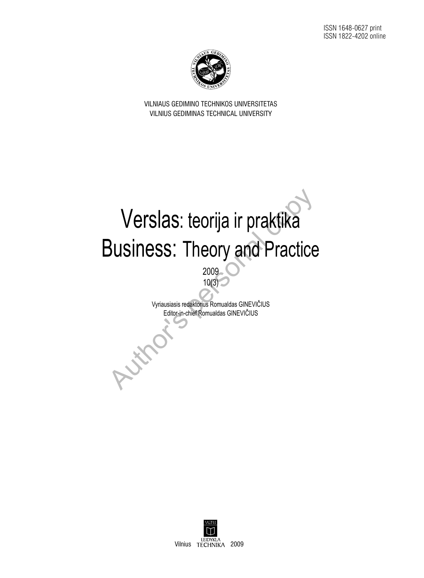

VILNIAUS GEDIMINO TECHNIKOS UNIVERSITETAS VILNIUS Gediminas Technical University

# Verslas: teorija ir praktika **Business: Theory and Practice** Verslas: teorija ir praktika<br>
Business: Theory and Practice

10(3) Vyriausiasis redaktorius Romualdas GINEVIČIUS

2009

Editor-in-chief Romualdas GINEVIČIUS

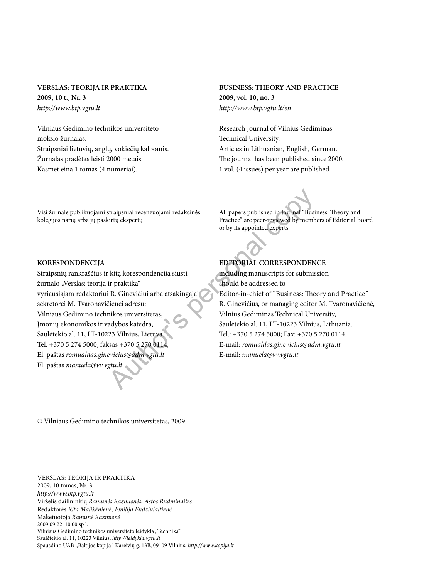# **VERSLAS: TEORIJA IR PRAKTIKA 2009, 10 t., Nr. 3** *http://www.btp.vgtu.lt*

Vilniaus Gedimino technikos universiteto mokslo žurnalas. Straipsniai lietuvių, anglų, vokiečių kalbomis. Žurnalas pradėtas leisti 2000 metais. Kasmet eina 1 tomas (4 numeriai).

#### Visi žurnale publikuojami straipsniai recenzuojami redakcinės kolegijos narių arba jų paskirtų ekspertų

# **BUSINESS: THEORY AND PRACTICE 2009, vol. 10, no. 3** *http://www.btp.vgtu.lt/en*

Research Journal of Vilnius Gediminas Technical University. Articles in Lithuanian, English, German. The journal has been published since 2000. 1 vol. (4 issues) per year are published.



All papers published in Journal "Business: Theory and Practice" are peer-reviewed by members of Editorial Board or by its appointed experts

#### **KORESPONDENCIJA**

Straipsnių rankraščius ir kitą korespondenciją siųsti žurnalo "Verslas: teorija ir praktika" vyriausiajam redaktoriui R. Ginevičiui arba atsakingajai sekretorei M. Tvaronavičienei adresu: Vilniaus Gedimino technikos universitetas, Įmonių ekonomikos ir vadybos katedra, Saulėtekio al. 11, LT-10223 Vilnius, Lietuva. Tel. +370 5 274 5000, faksas +370 5 270 0114*,*  El. paštas *romualdas.ginevicius@adm.vgtu.lt* El. paštas *manuela@vv.vgtu.lt*  $\begin{tabular}{ll} \texttt{str了} & \texttt{R}} \\ \texttt{strapsiniai recenzuojami redakcinės} & \texttt{All papers published in Journal ``Busini  
} \\ \texttt{Portioujekspertų} & \texttt{Practice'' are peer-revewed by memb  
or by its appointed experts  
or by its appointed experts  
or by its appointed experts  
or by its appointed experts  
} \\ \end{tabular}$ 

# **EDITORIAL CORRESPONDENCE**

including manuscripts for submission should be addressed to Editor-in-chief of "Business: Theory and Practice" R. Ginevičius, or managing editor M. Tvaronavičienė, Vilnius Gediminas Technical University, Saulėtekio al. 11, LT-10223 Vilnius, Lithuania. Tel.: +370 5 274 5000; Fax: +370 5 270 0114. E-mail: *romualdas.ginevicius@adm.vgtu.lt* E-mail: *manuela@vv.vgtu.lt*

*©* Vilniaus Gedimino technikos universitetas, 2009

#### Verslas: teorija ir praktika 2009, 10 tomas, Nr. 3 *http://www.btp.vgtu.lt* Viršelis dailininkių *Ramunės Razmienės, Astos Rudminaitės* Redaktorės *Rita Malikėnienė, Emilija Endziulaitienė* Maketuotoja *Ramunė Razmienė* 2009 09 22. 10,00 sp l. Vilniaus Gedimino technikos universiteto leidykla "Technika" Saulėtekio al. 11, 10223 Vilnius, *http://leidykla.vgtu.lt* Spausdino UAB "Baltijos kopija", Kareivių g. 13B, 09109 Vilnius, http://www.kopija.lt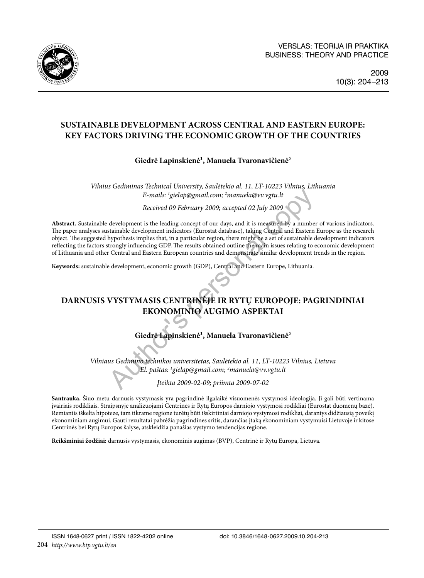

# **SUSTAINABLE DEVELOPMENT ACROSS CENTRAL AND EASTERN EUROPE: KEY FACTORS DRIVING THE ECONOMIC GROWTH OF THE COUNTRIES**

# Giedrė Lapinskienė<sup>1</sup>, Manuela Tvaronavičienė<sup>2</sup>

*Vilnius Gediminas Technical University, Saulėtekio al. 11, LT-10223 Vilnius, Lithuania E-mails: 1 gielap@gmail.com; 2 manuela@vv.vgtu.lt*

*Received 09 February 2009; accepted 02 July 2009*

**Abstract.** Sustainable development is the leading concept of our days, and it is measured by a number of various indicators. The paper analyses sustainable development indicators (Eurostat database), taking Central and Eastern Europe as the research object. The suggested hypothesis implies that, in a particular region, there might be a set of sustainable development indicators reflecting the factors strongly influencing GDP. The results obtained outline the main issues relating to economic development of Lithuania and other Central and Eastern European countries and demonstrate similar development trends in the region. *E-mails: 'gielap@gmail.com; <sup>2</sup>manuela@vv.vgtu.lt*<br> *Received 09 February 2009; accepted 02 July 2009*<br>
development is the leading concept of our days, and it is measured by a number<br>
stainable development indicators (Eu

**Keywords:** sustainable development, economic growth (GDP), Central and Eastern Europe, Lithuania.

# **DARNUSIS VYSTYMASIS CENTRINĖJE IR RYTŲ EUROPOJE: PAGRINDINIAI EKONOMINIO AUGIMO ASPEKTAI**

# Giedrė Lapinskienė<sup>1</sup>, Manuela Tvaronavičienė<sup>2</sup>

*Vilniaus Gedimino technikos universitetas, Saulėtekio al. 11, LT-10223 Vilnius, Lietuva El. paštas: 1 gielap@gmail.com; 2 manuela@vv.vgtu.lt*

*Įteikta 2009-02-09; priimta 2009-07-02*

**Santrauka.** Šiuo metu darnusis vystymasis yra pagrindinė ilgalaikė visuomenės vystymosi ideologija. Ji gali būti vertinama įvairiais rodikliais. Straipsnyje analizuojami Centrinės ir Rytų Europos darniojo vystymosi rodikliai (Eurostat duomenų bazė). Remiantis iškelta hipoteze, tam tikrame regione turėtų būti išskirtiniai darniojo vystymosi rodikliai, darantys didžiausią poveikį ekonominiam augimui. Gauti rezultatai pabrėžia pagrindines sritis, darančias įtaką ekonominiam vystymuisi Lietuvoje ir kitose Centrinės bei Rytų Europos šalyse, atskleidžia panašias vystymo tendencijas regione.

**Reikšminiai žodžiai:** darnusis vystymasis, ekonominis augimas (BVP), Centrinė ir Rytų Europa, Lietuva.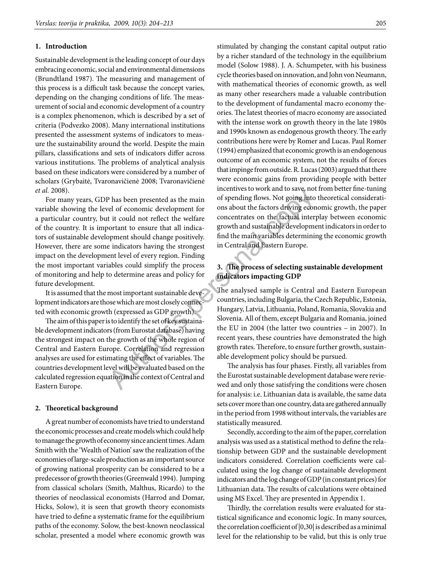#### **1. Introduction**

Sustainable development is the leading concept of our days embracing economic, social and environmental dimensions (Brundtland 1987). The measuring and management of this process is a difficult task because the concept varies, depending on the changing conditions of life. The measurement of social and economic development of a country is a complex phenomenon, which is described by a set of criteria (Podvezko 2008). Many international institutions presented the assessment systems of indicators to measure the sustainability around the world. Despite the main pillars, classifications and sets of indicators differ across various institutions. The problems of analytical analysis based on these indicators were considered by a number of scholars (Grybaitė, Tvaronavičienė 2008; Tvaronavičienė *et al.* 2008).

For many years, GDP has been presented as the main variable showing the level of economic development for a particular [country](http://en.wikipedia.org/wiki/Country), but it could not reflect the welfare of the country. It is important to ensure that all indicators of sustainable development should change positively. However, there are some indicators having the strongest impact on the development level of every region. Finding the most important variables could simplify the process of monitoring and help to determine areas and policy for future development. P has been presented as the main of spending flows. Not going into<br>
relative to the conomic development for<br>
the conomic development for<br>
the conomic development for<br>
the concentrates on the factual interportant<br>
to ensure

It is assumed that the most important sustainable development indicators are those which are most closely connected with economic growth (expressed as GDP growth).

The aim of this paper is to identify the set of key sustainable development indicators (from Eurostat database) having the strongest impact on the growth of the whole region of Central and Eastern Europe. Correlation and regression analyses are used for estimating the effect of variables. The countries development level will be evaluated based on the calculated regression equation in the context of Central and Eastern Europe.

#### **2. Theoretical background**

A great number of economists have tried to understand the economic processes and create models which could help to manage the growth of economy since ancient times. Adam Smith with the 'Wealth of Nation' saw the realization of the economies of large-scale production as an important source of growing national prosperity can be considered to be a predecessor of growth theories (Greenwald 1994). Jumping from classical scholars (Smith, Malthus, Ricardo) to the theories of neoclassical economists (Harrod and Domar, Hicks, Solow), it is seen that growth theory economists have tried to define a systematic frame for the equilibrium paths of the economy. Solow, the best-known neoclassical scholar, presented a model where economic growth was stimulated by changing the constant capital output ratio by a richer standard of the technology in the equilibrium model (Solow 1988). J. A. Schumpeter, with his business cycle theories based on innovation, and John von Neumann, with mathematical theories of economic growth, as well as many other researchers made a valuable contribution to the development of fundamental macro economy theories. The latest theories of macro economy are associated with the intense work on growth theory in the late 1980s and 1990s known as endogenous growth theory. The early contributions here were by Romer and Lucas. Paul Romer (1994) emphasized that economic growth is an endogenous outcome of an economic system, not the results of forces that impinge from outside. R. Lucas (2003) argued that there were economic gains from providing people with better incentives to work and to save, not from better fine-tuning of spending flows. Not going into theoretical considerations about the factors driving economic growth, the paper concentrates on the factual interplay between economic growth and sustainable development indicators in order to find the main variables determining the economic growth in Central and Eastern Europe.

#### **3. The process of selecting sustainable development indicators impacting GDP**

The analysed sample is Central and Eastern European countries, including Bulgaria, the Czech Republic, Estonia, Hungary, Latvia, Lithuania, Poland, Romania, Slovakia and Slovenia. All of them, except Bulgaria and Romania, joined the EU in 2004 (the latter two countries – in 2007). In recent years, these countries have demonstrated the high growth rates. Therefore, to ensure further growth, sustainable development policy should be pursued.

The analysis has four phases. Firstly, all variables from the Eurostat sustainable development database were reviewed and only those satisfying the conditions were chosen for analysis: i.e. Lithuanian data is available, the same data sets cover more than one country, data are gathered annually in the period from 1998 without intervals, the variables are statistically measured.

Secondly, according to the aim of the paper, correlation analysis was used as a statistical method to define the relationship between GDP and the sustainable development indicators considered. Correlation coefficients were calculated using the log change of sustainable development indicators and the log change of GDP (in constant prices) for Lithuanian data. The results of calculations were obtained using MS Excel. They are presented in Appendix 1.

Thirdly, the correlation results were evaluated for statistical significance and economic logic. In many sources, the correlation coefficient of |0,30| is described as a minimal level for the relationship to be valid, but this is only true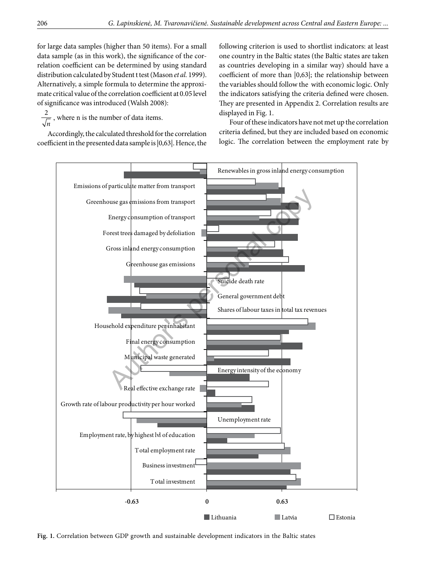for large data samples (higher than 50 items). For a small data sample (as in this work), the significance of the correlation coefficient can be determined by using standard distribution calculated by Student t test (Mason *et al.* 1999). Alternatively, a simple formula to determine the approximate critical value of the correlation coefficient at 0.05 level of significance was introduced (Walsh 2008):

 $\frac{2}{\sqrt{2}}$ , where n is the number of data items. *n*

Accordingly, the calculated threshold for the correlation coefficient in the presented data sample is |0,63|. Hence, the following criterion is used to shortlist indicators: at least one country in the Baltic states (the Baltic states are taken as countries developing in a similar way) should have a coefficient of more than |0,63|; the relationship between the variables should follow the with economic logic. Only the indicators satisfying the criteria defined were chosen. They are presented in Appendix 2. Correlation results are displayed in Fig. 1.

Four of these indicators have not met up the correlation criteria defined, but they are included based on economic logic. The correlation between the employment rate by



**Fig. 1.** Correlation between GDP growth and sustainable development indicators in the Baltic states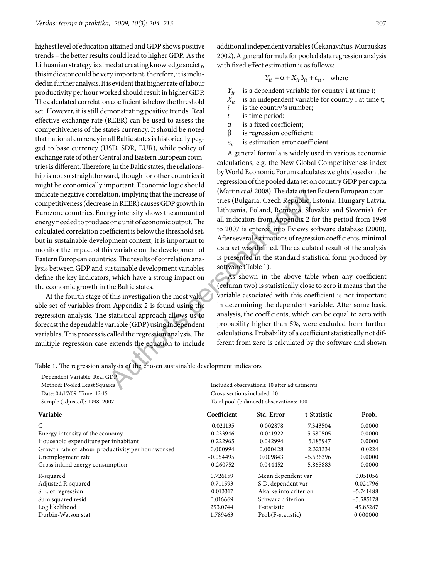highest level of education attained and GDP shows positive trends – the better results could lead to higher GDP. As the Lithuanian strategy is aimed at creating knowledge society, this indicator could be very important, therefore, it is included in further analysis. It is evident that higher rate of labour productivity per hour worked should result in higher GDP. The calculated correlation coefficient is below the threshold set. However, it is still demonstrating positive trends. Real effective exchange rate (REER) can be used to assess the competitiveness of the state's currency. It should be noted that national currency in all Baltic states is historically pegged to base currency (USD, SDR, EUR), while policy of exchange rate of other Central and Eastern European countries is different. Therefore, in the Baltic states, the relationship is not so straightforward, though for other countries it might be economically important. Economic logic should indicate negative correlation, implying that the increase of competitiveness (decrease in REER) causes GDP growth in Eurozone countries. Energy intensity shows the amount of energy needed to produce one unit of economic output. The calculated correlation coefficient is below the threshold set, but in sustainable development context, it is important to monitor the impact of this variable on the development of Eastern European countries. The results of correlation analysis between GDP and sustainable development variables define the key indicators, which have a strong impact on the economic growth in the Baltic states. tion, implying that the increase of that in et al. 2008). The data on ten<br>
in REER) causes GDP growth in<br>
tries (Bulgaria, Czech Republic, E<br>
represent to croomic output. The lithuania, Poland, Romania, Slove<br>
efficient i

At the fourth stage of this investigation the most valuable set of variables from Appendix 2 is found using the regression analysis. The statistical approach allows us to forecast the dependable variable (GDP) using independent variables. This process is called the regression analysis. The multiple regression case extends the equation to include additional independent variables (Čekanavičius, Murauskas 2002). A general formula for pooled data regression analysis with fixed effect estimation is as follows:

$$
Y_{it} = \alpha + X_{it}\beta_{it} + \varepsilon_{it}, \text{ where}
$$

 $Y_{it}$  is a dependent variable for country i at time t;

- $X_{it}$  is an independent variable for country i at time t;<br>*i* is the country's number:
- is the country's number;
- *t* is time period;
- $\alpha$  is a fixed coefficient;
- β is regression coefficient;
- ε*it* is estimation error coefficient.

A general formula is widely used in various economic calculations, e.g. the New Global Competitiveness index by World Economic Forum calculates weights based on the regression of the pooled data set on country GDP per capita (Martin *et al*. 2008). The data on ten Eastern European countries (Bulgaria, Czech Republic, Estonia, Hungary Latvia, Lithuania, Poland, Romania, Slovakia and Slovenia) for all indicators from Appendix 2 for the period from 1998 to 2007 is entered into Eviews software database (2000). After several estimations of regression coefficients, minimal data set was defined. The calculated result of the analysis is presented in the standard statistical form produced by software (Table 1).

As shown in the above table when any coefficient (column two) is statistically close to zero it means that the variable associated with this coefficient is not important in determining the dependent variable. After some basic analysis, the coefficients, which can be equal to zero with probability higher than 5%, were excluded from further calculations. Probability of a coefficient statistically not different from zero is calculated by the software and shown

**Variable Coefficient Std. Error t-Statistic Prob.**  C 0.021135 0.002878 7.343504 0.0000 Energy intensity of the economy  $-0.233946$   $-0.041922$   $-5.580505$  0.0000 Household expenditure per inhabitant 0.222965 0.042994 5.185947 0.0000 Growth rate of labour productivity per hour worked 0.000994 0.000428 2.321334 0.0224 Unemployment rate  $-0.054495$   $-0.009843$   $-5.536396$   $0.0000$ Gross inland energy consumption 0.260752 0.044452 5.865883 0.0000 R-squared 0.726159 Mean dependent var 0.051056 Adjusted R-squared 1.1593 S.D. dependent var 1.0024796 S.E. of regression 0.013317 Akaike info criterion –5.741488 Sum squared resid 0.016669 Schwarz criterion –5.585178 Dependent Variable: Real GDP Method: Pooled Least Squares and Method: Pooled Least Squares and Method: Pooled Least Squares and Method: Poole and Method: Poole and Method: Poole and Method: Poole and Method: Poole and Method: Poole and Method: Poole a Date: 04/17/09 Time: 12:15 Cross-sections included: 10 Sample (adjusted): 1998–2007 Total pool (balanced) observations: 100

Log likelihood 293.0744 F-statistic 49.85287 Durbin-Watson stat 1.789463 Prob(F-statistic) 0.000000

**Table 1.** The regression analysis of the chosen sustainable development indicators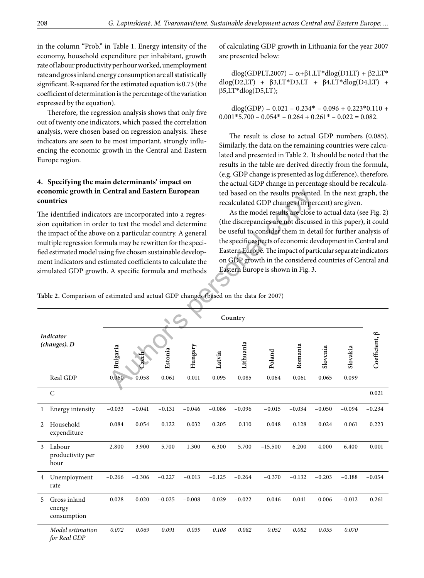in the column "Prob." in Table 1. Energy intensity of the economy, household expenditure per inhabitant, growth rate of labour productivity per hour worked, unemployment rate and gross inland energy consumption are all statistically significant. R-squared for the estimated equation is 0.73 (the coefficient of determination is the percentage of the variation expressed by the equation).

Therefore, the regression analysis shows that only five out of twenty one indicators, which passed the correlation analysis, were chosen based on regression analysis. These indicators are seen to be most important, strongly influencing the economic growth in the Central and Eastern Europe region.

### **4. Specifying the main determinants' impact on economic growth in Central and Eastern European countries**

of calculating GDP growth in Lithuania for the year 2007 are presented below:

dlog(GDPLT,2007) =  $\alpha + \beta$ 1,LT\*dlog(D1LT) + β2,LT\* dlog(D2,LT) + β3,LT\*D3,LT + β4,LT\*dlog(D4,LT) + β5,LT\*dlog(D5,LT);

 $dlog(GDP) = 0.021 - 0.234* - 0.096 + 0.223*0.110 +$  $0.001*5.700 - 0.054* - 0.264 + 0.261* - 0.022 = 0.082$ .

The result is close to actual GDP numbers (0.085). Similarly, the data on the remaining countries were calculated and presented in Table 2. It should be noted that the results in the table are derived directly from the formula, (e.g. GDP change is presented as log difference), therefore, the actual GDP change in percentage should be recalculated based on the results presented. In the next graph, the recalculated GDP changes (in percent) are given.

| economic growth in Central and Eastern European<br>countries<br>The identified indicators are incorporated into a regres-<br>sion equitation in order to test the model and determine<br>the impact of the above on a particular country. A general<br>multiple regression formula may be rewritten for the speci-<br>fied estimated model using five chosen sustainable develop-<br>ment indicators and estimated coefficients to calculate the<br>simulated GDP growth. A specific formula and methods |                                                                                      |             |          |          |          | ted based on the results presented. In the next graph, the<br>recalculated GDP changes (in percent) are given.                                                                                                                                                                                                                                                                                                               |           |           |          |          |          |                             |
|----------------------------------------------------------------------------------------------------------------------------------------------------------------------------------------------------------------------------------------------------------------------------------------------------------------------------------------------------------------------------------------------------------------------------------------------------------------------------------------------------------|--------------------------------------------------------------------------------------|-------------|----------|----------|----------|------------------------------------------------------------------------------------------------------------------------------------------------------------------------------------------------------------------------------------------------------------------------------------------------------------------------------------------------------------------------------------------------------------------------------|-----------|-----------|----------|----------|----------|-----------------------------|
|                                                                                                                                                                                                                                                                                                                                                                                                                                                                                                          |                                                                                      |             |          |          |          | As the model results are close to actual data (see Fig. 2)<br>(the discrepancies are not discussed in this paper), it could<br>be useful to consider them in detail for further analysis of<br>the specific aspects of economic development in Central and<br>Eastern Europe. The impact of particular separate indicators<br>on GDP growth in the considered countries of Central and<br>Eastern Europe is shown in Fig. 3. |           |           |          |          |          |                             |
|                                                                                                                                                                                                                                                                                                                                                                                                                                                                                                          | Table 2. Comparison of estimated and actual GDP changes (based on the data for 2007) |             |          |          |          |                                                                                                                                                                                                                                                                                                                                                                                                                              |           |           |          |          |          |                             |
|                                                                                                                                                                                                                                                                                                                                                                                                                                                                                                          |                                                                                      |             |          |          |          |                                                                                                                                                                                                                                                                                                                                                                                                                              | Country   |           |          |          |          |                             |
| Indicator<br>(changes), D                                                                                                                                                                                                                                                                                                                                                                                                                                                                                |                                                                                      | Bulgaria    |          | Estonia  | Hungary  | Latvia                                                                                                                                                                                                                                                                                                                                                                                                                       | Lithuania | Poland    | Romania  | Slovenia | Slovakia | $\text{Coefficient}, \beta$ |
|                                                                                                                                                                                                                                                                                                                                                                                                                                                                                                          | Real GDP                                                                             | 0.060       | 0.058    | 0.061    | 0.011    | 0.095                                                                                                                                                                                                                                                                                                                                                                                                                        | 0.085     | 0.064     | 0.061    | 0.065    | 0.099    |                             |
|                                                                                                                                                                                                                                                                                                                                                                                                                                                                                                          | C                                                                                    |             |          |          |          |                                                                                                                                                                                                                                                                                                                                                                                                                              |           |           |          |          |          | 0.021                       |
| 1                                                                                                                                                                                                                                                                                                                                                                                                                                                                                                        | Energy intensity                                                                     | $-0.033$    | $-0.041$ | $-0.131$ | $-0.046$ | $-0.086$                                                                                                                                                                                                                                                                                                                                                                                                                     | $-0.096$  | $-0.015$  | $-0.034$ | $-0.050$ | $-0.094$ | $-0.234$                    |
| 2                                                                                                                                                                                                                                                                                                                                                                                                                                                                                                        | Household<br>expenditure                                                             | $\,0.084\,$ | 0.054    | 0.122    | 0.032    | 0.205                                                                                                                                                                                                                                                                                                                                                                                                                        | 0.110     | 0.048     | 0.128    | 0.024    | 0.061    | 0.223                       |
| $\mathfrak{Z}$                                                                                                                                                                                                                                                                                                                                                                                                                                                                                           | Labour<br>productivity per<br>hour                                                   | 2.800       | 3.900    | 5.700    | 1.300    | 6.300                                                                                                                                                                                                                                                                                                                                                                                                                        | 5.700     | $-15.500$ | 6.200    | 4.000    | 6.400    | 0.001                       |
| 4                                                                                                                                                                                                                                                                                                                                                                                                                                                                                                        | Unemployment<br>rate                                                                 | $-0.266$    | $-0.306$ | $-0.227$ | $-0.013$ | $-0.125$                                                                                                                                                                                                                                                                                                                                                                                                                     | $-0.264$  | $-0.370$  | $-0.132$ | $-0.203$ | $-0.188$ | $-0.054$                    |
| 5                                                                                                                                                                                                                                                                                                                                                                                                                                                                                                        | Gross inland<br>energy<br>consumption                                                | 0.028       | 0.020    | $-0.025$ | $-0.008$ | 0.029                                                                                                                                                                                                                                                                                                                                                                                                                        | $-0.022$  | 0.046     | 0.041    | 0.006    | $-0.012$ | 0.261                       |
|                                                                                                                                                                                                                                                                                                                                                                                                                                                                                                          | Model estimation<br>for Real GDP                                                     | 0.072       | 0.069    | 0.091    | 0.039    | 0.108                                                                                                                                                                                                                                                                                                                                                                                                                        | 0.082     | 0.052     | 0.082    | 0.055    | 0.070    |                             |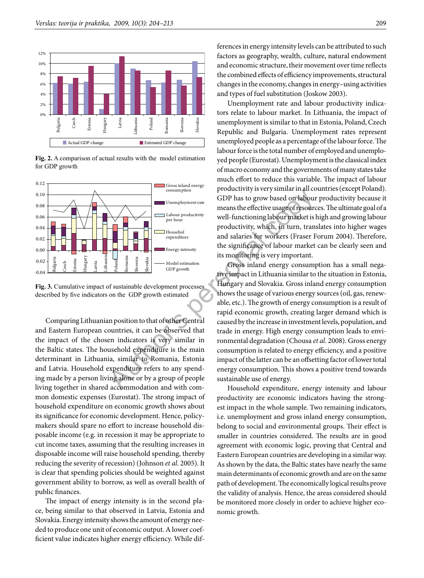

**Fig. 2.** A comparison of actual results with the model estimation for GDP growth



**Fig. 3.** Cumulative impact of sustainable development processes described by five indicators on the GDP growth estimated

Comparing Lithuanian position to that of other Central and Eastern European countries, it can be observed that the impact of the chosen indicators is very similar in the Baltic states. The household expenditure is the main determinant in Lithuania, similar to Romania, Estonia and Latvia. Household expenditure refers to any spending made by a person living alone or by a group of people living together in shared accommodation and with common domestic expenses (Eurostat). The strong impact of household expenditure on economic growth shows about its significance for economic development. Hence, policymakers should spare no effort to increase household disposable income (e.g. in recession it may be appropriate to cut income taxes, assuming that the resulting increases in disposable income will raise household spending, thereby reducing the severity of recession) ([Johnson](http://papers.ssrn.com/sol3/c) *et al*. 2005). It is clear that spending policies should be weighted against government ability to borrow, as well as overall health of public finances.

The impact of energy intensity is in the second place, being similar to that observed in Latvia, Estonia and Slovakia. Energy intensity shows the amount of energy needed to produce one unit of economic output. A lower coefficient value indicates higher energy efficiency. While differences in energy intensity levels can be attributed to such factors as geography, wealth, culture, natural endowment and economic structure, their movement over time reflects the combined effects of efficiency improvements, structural changes in the economy, changes in energy–using activities and types of fuel substitution (Joskow 2003).

Unemployment rate and labour productivity indicators relate to labour market. In Lithuania, the impact of unemployment is similar to that in Estonia, Poland, Czech Republic and Bulgaria. Unemployment rates represent unemployed people as a percentage of the labour force. The labour force is the total number of employed and unemployed people (Eurostat). Unemployment is the classical index of macro economy and the governments of many states take much effort to reduce this variable. The impact of labour productivity is very similar in all countries (except Poland). GDP has to grow based on labour productivity because it means the effective usage of resources. The ultimate goal of a well-functioning labour market is high and growing labour productivity, which, in turn, translates into higher wages and salaries for workers (Fraser Forum 2004). Therefore, the significance of labour market can be clearly seen and its monitoring is very important.

Gross inland energy consumption has a small negative impact in Lithuania similar to the situation in Estonia, Hungary and Slovakia. Gross inland energy consumption shows the usage of various energy sources (oil, gas, renewable, etc.). The growth of energy consumption is a result of rapid economic growth, creating larger demand which is caused by the increase in investment levels, population, and trade in energy. High energy consumption leads to environmental degradation (Chousa *et al*. 2008). Gross energy consumption is related to energy efficiency, and a positive impact of the latter can be an offsetting factor of lower total energy consumption. This shows a positive trend towards sustainable use of energy. Author's personal copy

Household expenditure, energy intensity and labour productivity are economic indicators having the strongest impact in the whole sample. Two remaining indicators, i.e. unemployment and gross inland energy consumption, belong to social and environmental groups. Their effect is smaller in countries considered. The results are in good agreement with economic logic, proving that Central and Eastern European countries are developing in a similar way. As shown by the data, the Baltic states have nearly the same main determinants of economic growth and are on the same path of development. The economically logical results prove the validity of analysis. Hence, the areas considered should be monitored more closely in order to achieve higher economic growth.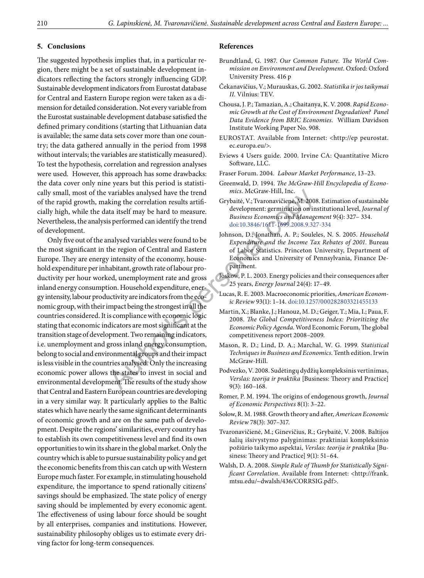#### **5. Conclusions**

The suggested hypothesis implies that, in a particular region, there might be a set of sustainable development indicators reflecting the factors strongly influencing GDP. Sustainable development indicators from Eurostat database for Central and Eastern Europe region were taken as a dimension for detailed consideration. Not every variable from the Eurostat sustainable development database satisfied the defined primary conditions (starting that Lithuanian data is available; the same data sets cover more than one country; the data gathered annually in the period from 1998 without intervals; the variables are statistically measured). To test the hypothesis, correlation and regression analyses were used. However, this approach has some drawbacks: the data cover only nine years but this period is statistically small, most of the variables analysed have the trend of the rapid growth, making the correlation results artificially high, while the data itself may be hard to measure. Nevertheless, the analysis performed can identify the trend of development.

Only five out of the analysed variables were found to be the most significant in the region of Central and Eastern Europe. They are energy intensity of the economy, household expenditure per inhabitant, growth rate of labour productivity per hour worked, unemployment rate and gross inland energy consumption. Household expenditure, energy intensity, labour productivity are indicators from the economic group, with their impact being the strongest in all the countries considered. It is compliance with economic logic stating that economic indicators are most significant at the transition stage of development. Two remaining indicators, i.e. unemployment and gross inland energy consumption, belong to social and environmental groups and their impact is less visible in the countries analysed. Only the increasing economic power allows the states to invest in social and environmental development. The results of the study show that Central and Eastern European countries are developing in a very similar way. It particularly applies to the Baltic states which have nearly the same significant determinants of economic growth and are on the same path of development. Despite the regions' similarities, every country has to establish its own competitiveness level and find its own opportunities to win its share in the global market. Only the country which is able to pursue sustainability policy and get the economic benefits from this can catch up with Western Europe much faster. For example, in stimulating household expenditure, the importance to spend rationally citizens' savings should be emphasized. The state policy of energy saving should be implemented by every economic agent. The effectiveness of using labour force should be sought by all enterprises, companies and institutions. However, sustainability philosophy obliges us to estimate every driving factor for long-term consequences. variable[s](http://web.ebscohost.com/bsi/viewarticle?data=dGJyMPPp44rp2%2fdV0%2bnjisfk5Ie46bRQsKqxULWk63nn5Kx68d%2b%2bTK2or0ewpq5Rnqq4Tbewr0iet) analysed have the trend<br>
Mics. McGraw-Hill, Inc.<br>
king the [co](http://dx.doi.org/10.3846/1611-1699.2008.9.327-334)rrelation results artificanties ( $\frac{1}{2}$  development: germination on in<br>
ta itself may be hard to measure.<br>
Survey development: germination on in<br>
B

#### **References**

- Brundtland, G. 1987. *Our Common Future. The World Commission on Environment and Development.* Oxford: Oxford University Press. 416 p
- Čekanavičius, V.; Murauskas, G. 2002. *Statistika ir jos taikymai II*. Vilnius: TEV.

Chousa, J. P.[; Tamazian,](http://papers.ssrn.com/sol3/cf_dev/AbsByAuth.cfm?per_id=345969)A.; [Chaitanya, K. V.](http://papers.ssrn.com/sol3/cf_dev/AbsByAuth.c) 2008. *[Rapid Econo](http://papers.ssrn.com/sol3/papers.cfm?abstract_id=1143537)[mic Growth at the Cost of Environment Degradation? Panel](http://papers.ssrn.com/sol3/papers.cfm?abstract_id=1143537)  [Data Evidence from BRIC Economies.](http://papers.ssrn.com/sol3/papers.cfm?abstract_id=1143537)* William Davidson Institute Working Paper No. 908.

- EUROSTAT. Available from Internet: <http://ep [peurostat.](http://epp.eurostat.ec.europa.eu/portal/page?_pageid=1998,66119021,1998_66391726&_dad=portal&_schema=PORTAL#THEME4) [ec.europa.eu/](http://epp.eurostat.ec.europa.eu/portal/page?_pageid=1998,66119021,1998_66391726&_dad=portal&_schema=PORTAL#THEME4)>.
- Eviews 4 Users guide. 2000. Irvine CA: Quantitative Micro Software, LLC.
- Fraser Forum. 2004. *Labour Market Performance*, 13–23.
- Greenwald, D. 1994. *The McGraw-Hill Encyclopedia of Economics.* McGraw-Hill, Inc.
- Grybaitė, V.; Tvaronavičienė, M. 2008. Estimation of sustainable development: germination on institutional level, *Journal of Business Economics and Management* 9(4): 327– 334. doi:10.3846/1611-1699.2008.9.327-334
- Johnson, D.; Jonathan, A. P.; Souleles, N. S. 2005. *Household Expenditure and the Income Tax Rebates of 2001*. Bureau of Labor Statistics. Princeton University, Department of Economics and University of Pennsylvania, Finance Department.
- Joskow, P. L. 2003. [Energy policies and their consequences after](http://web.ebscohost.com/bsi/viewarticle?data=dGJyMPPp44rp2%2fdV0%2bnjisfk5Ie46bRQsKqxULWk63nn5Kx68d%2b%2bTK2or0ewpq5Rnqq4Tbewr0iet)  25 years, *Energy Journal* 24(4): 17–49.
- Lucas, R. E. 2003. Macroeconomic priorities, *American Economic Review* 93(1): 1–14. [doi:10.1257/000282803321455133](http://dx.doi.org/10.1257/000282803321455133)
- Martin, X.; Blanke, J.; Hanouz, M. D.; Geiger, T.; Mia, I.; Paua, F. 2008. *The Global Competitiveness Index: Prioritizing the Economic Policy Agenda.* Word Economic Forum, The global competitiveness report 2008–2009.
- Mason, R. D.; Lind, D. A.; Marchal, W. G. 1999. *Statistical Techniques in Business and Economics*. Tenth edition. Irwin McGraw-Hill.
- Podvezko, V. 2008. Sudėtingų dydžių kompleksinis vertinimas, *Verslas: teorija ir praktika* [Business: Theory and Practice] 9(3): 160–168.
- Romer, P. M. 1994. The origins of endogenous growth, *Journal of Economic Perspectives* 8(1): 3–22.
- Solow, R. M. 1988. [Growth theory and after](http://web.ebscohost.com/bsi/viewarticle?data=dGJyMPPp44rp2%2fdV0%2bnjisfk5Ie46bRQsKqxULWk63nn5Kx68d%2b%2bTK2trUquprc4srCxUbirsDi%2fw6SM8Nfsi9%2fZ8oHt5Od8u6), *American Economic Review* 78(3): 307–317.
- Tvaronavičienė, M.; Ginevičius, R.; Grybaitė, V. 2008. Baltijos šalių išsivystymo palyginimas: praktiniai kompleksinio požiūrio taikymo aspektai, *Verslas: teorija ir praktika* [Business: Theory and Practice] 9(1): 51–64.
- Walsh, D. A. 2008. *Simple Rule of Thumb for Statistically Significant Correlation*. Available from Internet: <[http://frank.](http://frank.mtsu.edu/~dwalsh/436/CORRSIG.pdf) [mtsu.edu/~dwalsh/436/CORRSIG.pdf](http://frank.mtsu.edu/~dwalsh/436/CORRSIG.pdf)>.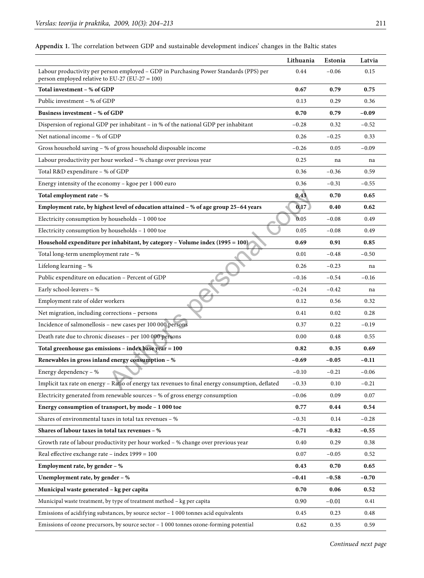|                                                                                                                                          | Lithuania | Estonia | Latvia  |
|------------------------------------------------------------------------------------------------------------------------------------------|-----------|---------|---------|
| Labour productivity per person employed - GDP in Purchasing Power Standards (PPS) per<br>person employed relative to EU-27 (EU-27 = 100) | 0.44      | $-0.06$ | 0.15    |
| Total investment - % of GDP                                                                                                              | 0.67      | 0.79    | 0.75    |
| Public investment – % of GDP                                                                                                             | 0.13      | 0.29    | 0.36    |
| Business investment - % of GDP                                                                                                           | 0.70      | 0.79    | $-0.09$ |
| Dispersion of regional GDP per inhabitant – in % of the national GDP per inhabitant                                                      | $-0.28$   | 0.32    | $-0.52$ |
| Net national income - % of GDP                                                                                                           | 0.26      | $-0.25$ | 0.33    |
| Gross household saving - % of gross household disposable income                                                                          | $-0.26$   | 0.05    | $-0.09$ |
| Labour productivity per hour worked - % change over previous year                                                                        | 0.25      | na      | na      |
| Total R&D expenditure - % of GDP                                                                                                         | 0.36      | $-0.36$ | 0.59    |
| Energy intensity of the economy - kgoe per 1 000 euro                                                                                    | 0.36      | $-0.31$ | $-0.55$ |
| Total employment rate - %                                                                                                                | 0.43      | 0.70    | 0.65    |
| Employment rate, by highest level of education attained - % of age group 25-64 years                                                     | 0.17      | 0.40    | 0.62    |
| Electricity consumption by households - 1 000 toe                                                                                        | 0.05      | $-0.08$ | 0.49    |
| Electricity consumption by households - 1 000 toe                                                                                        | 0.05      | $-0.08$ | 0.49    |
| Household expenditure per inhabitant, by category - Volume index (1995 = 100)                                                            | 0.69      | 0.91    | 0.85    |
| Total long-term unemployment rate - %                                                                                                    | 0.01      | $-0.48$ | $-0.50$ |
| Lifelong learning - %                                                                                                                    | 0.26      | $-0.23$ | na      |
| Public expenditure on education - Percent of GDP                                                                                         | $-0.16$   | $-0.54$ | $-0.16$ |
| Early school-leavers - %                                                                                                                 | $-0.24$   | $-0.42$ | na      |
| Employment rate of older workers                                                                                                         | 0.12      | 0.56    | 0.32    |
| Net migration, including corrections - persons                                                                                           | 0.41      | 0.02    | 0.28    |
| Incidence of salmonellosis - new cases per 100 000 persons                                                                               | 0.37      | 0.22    | $-0.19$ |
| Death rate due to chronic diseases - per 100 000 persons                                                                                 | 0.00      | 0.48    | 0.55    |
| Total greenhouse gas emissions - index base year = 100                                                                                   | 0.82      | 0.35    | 0.69    |
| Renewables in gross inland energy consumption - %                                                                                        | $-0.69$   | $-0.05$ | $-0.11$ |
| Energy dependency - %                                                                                                                    | $-0.10$   | $-0.21$ | $-0.06$ |
| Implicit tax rate on energy - Ratio of energy tax revenues to final energy consumption, deflated                                         | $-0.33$   | 0.10    | $-0.21$ |
| Electricity generated from renewable sources - % of gross energy consumption                                                             | $-0.06$   | 0.09    | 0.07    |
| Energy consumption of transport, by mode - 1 000 toe                                                                                     | 0.77      | 0.44    | 0.54    |
| Shares of environmental taxes in total tax revenues - %                                                                                  | $-0.31$   | 0.14    | $-0.28$ |
| Shares of labour taxes in total tax revenues - %                                                                                         | $-0.71$   | $-0.82$ | $-0.55$ |
| Growth rate of labour productivity per hour worked - % change over previous year                                                         | 0.40      | 0.29    | 0.38    |
| Real effective exchange rate - index 1999 = 100                                                                                          | 0.07      | $-0.05$ | 0.52    |
| Employment rate, by gender - %                                                                                                           | 0.43      | 0.70    | 0.65    |
| Unemployment rate, by gender $-$ %                                                                                                       | -0.41     | $-0.58$ | $-0.70$ |
| Municipal waste generated - kg per capita                                                                                                | 0.70      | 0.06    | 0.52    |
| Municipal waste treatment, by type of treatment method - kg per capita                                                                   | 0.90      | $-0.01$ | 0.41    |
| Emissions of acidifying substances, by source sector $-1000$ tonnes acid equivalents                                                     | 0.45      | 0.23    | 0.48    |
| Emissions of ozone precursors, by source sector - 1 000 tonnes ozone-forming potential                                                   | 0.62      | 0.35    | 0.59    |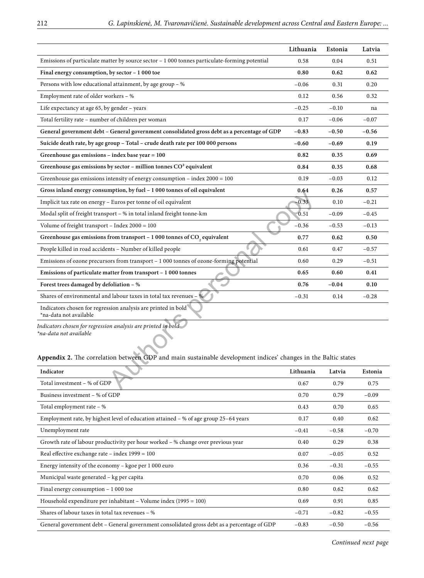|                                                                                                                                                                                                           | Lithuania | Estonia | Latvia  |
|-----------------------------------------------------------------------------------------------------------------------------------------------------------------------------------------------------------|-----------|---------|---------|
| Emissions of particulate matter by source sector $-1000$ tonnes particulate-forming potential                                                                                                             | 0.58      | 0.04    | 0.51    |
| Final energy consumption, by sector - 1000 toe                                                                                                                                                            | 0.80      | 0.62    | 0.62    |
| Persons with low educational attainment, by age group $-$ %                                                                                                                                               | $-0.06$   | 0.31    | 0.20    |
| Employment rate of older workers – %                                                                                                                                                                      | 0.12      | 0.56    | 0.32    |
| Life expectancy at age $65$ , by gender – years                                                                                                                                                           | $-0.25$   | $-0.10$ | na      |
| Total fertility rate - number of children per woman                                                                                                                                                       | 0.17      | $-0.06$ | $-0.07$ |
| General government debt - General government consolidated gross debt as a percentage of GDP                                                                                                               | $-0.83$   | $-0.50$ | $-0.56$ |
| Suicide death rate, by age group - Total - crude death rate per 100 000 persons                                                                                                                           | $-0.60$   | $-0.69$ | 0.19    |
| Greenhouse gas emissions $-$ index base year $= 100$                                                                                                                                                      | 0.82      | 0.35    | 0.69    |
| Greenhouse gas emissions by sector - million tonnes $CO2$ equivalent                                                                                                                                      | 0.84      | 0.35    | 0.68    |
| Greenhouse gas emissions intensity of energy consumption - index $2000 = 100$                                                                                                                             | 0.19      | $-0.03$ | 0.12    |
| Gross inland energy consumption, by fuel - 1 000 tonnes of oil equivalent                                                                                                                                 | 0.64      | 0.26    | 0.57    |
| Implicit tax rate on energy – Euros per tonne of oil equivalent                                                                                                                                           | 0.33      | 0.10    | $-0.21$ |
| Modal split of freight transport - % in total inland freight tonne-km                                                                                                                                     | 0.51      | $-0.09$ | $-0.45$ |
| Volume of freight transport - Index $2000 = 100$                                                                                                                                                          | $-0.36$   | $-0.53$ | $-0.13$ |
| Greenhouse gas emissions from transport - 1 000 tonnes of CO <sub>2</sub> equivalent                                                                                                                      | 0.77      | 0.62    | 0.50    |
| People killed in road accidents - Number of killed people                                                                                                                                                 | 0.61      | 0.47    | $-0.57$ |
| Emissions of ozone precursors from transport - 1 000 tonnes of ozone-forming potential                                                                                                                    | 0.60      | 0.29    | $-0.51$ |
| Emissions of particulate matter from transport - 1000 tonnes                                                                                                                                              | 0.65      | 0.60    | 0.41    |
| Forest trees damaged by defoliation - %                                                                                                                                                                   | 0.76      | $-0.04$ | 0.10    |
| Shares of environmental and labour taxes in total tax revenues – %                                                                                                                                        | $-0.31$   | 0.14    | $-0.28$ |
| Indicators chosen for regression analysis are printed in bold<br>*na-data not available                                                                                                                   |           |         |         |
| Indicators chosen for regression analysis are printed in bold<br>*na-data not available<br>Appendix 2. The correlation between GDP and main sustainable development indices' changes in the Baltic states |           |         |         |
| Indicator                                                                                                                                                                                                 | Lithuania | Latvia  | Estonia |
| Total investment - % of GDP                                                                                                                                                                               | 0.67      | 0.79    | 0.75    |

# **Appendix 2.** The correlation between GDP and main sustainable development indices' changes in the Baltic states

| Indicator                                                                                   | Lithuania | Latvia  | Estonia |
|---------------------------------------------------------------------------------------------|-----------|---------|---------|
| Total investment - % of GDP                                                                 | 0.67      | 0.79    | 0.75    |
| Business investment – % of GDP                                                              | 0.70      | 0.79    | $-0.09$ |
| Total employment rate $-$ %                                                                 | 0.43      | 0.70    | 0.65    |
| Employment rate, by highest level of education attained – % of age group 25–64 years        | 0.17      | 0.40    | 0.62    |
| Unemployment rate                                                                           | $-0.41$   | $-0.58$ | $-0.70$ |
| Growth rate of labour productivity per hour worked $-$ % change over previous year          | 0.40      | 0.29    | 0.38    |
| Real effective exchange rate – index $1999 = 100$                                           | 0.07      | $-0.05$ | 0.52    |
| Energy intensity of the economy $-$ kgoe per 1 000 euro                                     | 0.36      | $-0.31$ | $-0.55$ |
| Municipal waste generated – kg per capita                                                   | 0.70      | 0.06    | 0.52    |
| Final energy consumption $-1000$ toe                                                        | 0.80      | 0.62    | 0.62    |
| Household expenditure per inhabitant – Volume index $(1995 = 100)$                          | 0.69      | 0.91    | 0.85    |
| Shares of labour taxes in total tax revenues $-$ %                                          | $-0.71$   | $-0.82$ | $-0.55$ |
| General government debt – General government consolidated gross debt as a percentage of GDP | $-0.83$   | $-0.50$ | $-0.56$ |

*Continued next page*